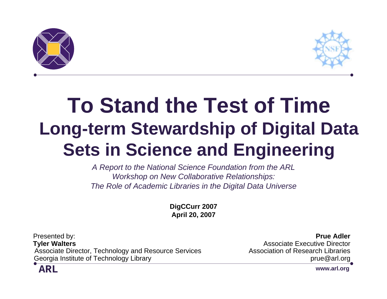



### **To Stand the Test of Time Long-term Stewardship of Digital Data Sets in Science and Engineering**

*A Report to the National Science Foundation from the ARL Workshop on New Collaborative Relationships: The Role of Academic Libraries in the Digital Data Universe*

> **DigCCurr 2007 April 20, 2007**

Presented by: **Prue Adler Tyler Walters Associate Executive Director Associate Executive Director** Associate Director, Technology and Resource Services Association of Research Libraries Georgia Institute of Technology Library prue example of the state of the state of the state of the state of the state of the state of the state of the state of the state of the state of the state of the state of the state



**www.arl.org**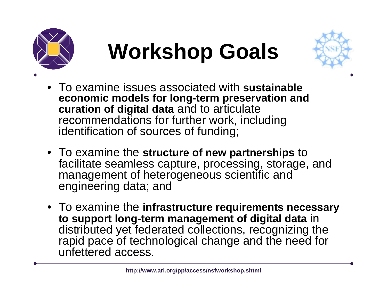

### **Workshop Goals**



- To examine issues associated with **sustainable economic models for long-term preservation and curation of digital data** and to articulate recommendations for further work, including identification of sources of funding;
- To examine the **structure of new partnerships** to facilitate seamless capture, processing, storage, and management of heterogeneous scientific and engineering data; and
- To examine the **infrastructure requirements necessary to support long-term management of digital data** in distributed yet federated collections, recognizing the rapid pace of technological change and the need for unfettered access.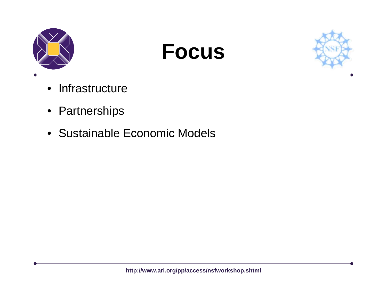

### **Focus**



- Infrastructure
- Partnerships
- Sustainable Economic Models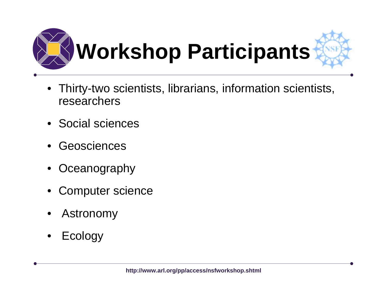

- $\bullet$  Thirty-two scientists, librarians, information scientists, researchers
- Social sciences
- •Geosciences
- •**Oceanography**
- •Computer science
- •Astronomy
- •Ecology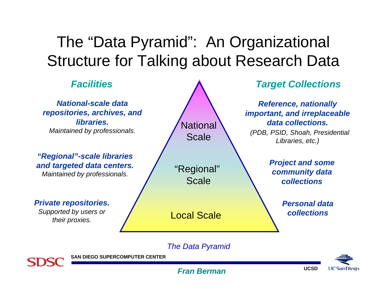#### The "Data Pyramid": An Organizational Structure for Talking about Research Data



#### *The Data Pyramid*



**SAN DIEGO SUPERCOMPUTER CENTER**

**UC San Diego** 

**UCSD**

#### *Fran Berman*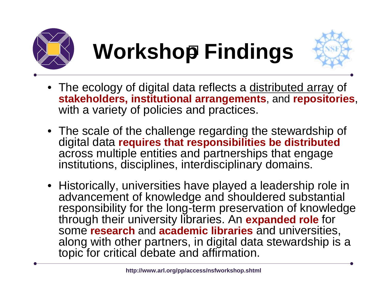



- The ecology of digital data reflects a distributed array of **stakeholders, institutional arrangements**, and **repositories**, with a variety of policies and practices.
- The scale of the challenge regarding the stewardship of digital data **requires that responsibilities be distributed** across multiple entities and partnerships that engage institutions, disciplines, interdisciplinary domains.
- Historically, universities have played a leadership role in advancement of knowledge and shouldered substantial responsibility for the long-term preservation of knowledge through their university libraries. An **expanded role** for some **research** and **academic libraries** and universities, along with other partners, in digital data stewardship is a topic for critical debate and affirmation.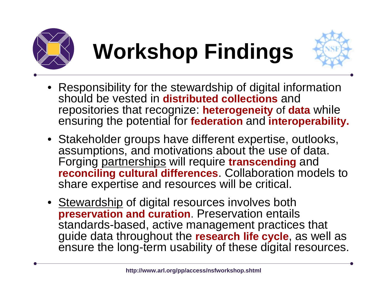



- Responsibility for the stewardship of digital information should be vested in **distributed collections** and repositories that recognize: **heterogeneity** of **data** while ensuring the potential for **federation** and **interoperability.**
- Stakeholder groups have different expertise, outlooks, assumptions, and motivations about the use of data. Forging partnerships will require **transcending** and **reconciling cultural differences**. Collaboration models to share expertise and resources will be critical.
- Stewardship of digital resources involves both **preservation and curation**. Preservation entails standards-based, active management practices that guide data throughout the **research life cycle**, as well as ensure the long-term usability of these digital resources.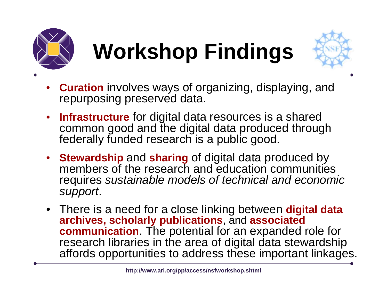



- • **Curation** involves ways of organizing, displaying, and repurposing preserved data.
- • **Infrastructure** for digital data resources is a shared common good and the digital data produced through federally funded research is a public good.
- **Stewardship** and **sharing** of digital data produced by members of the research and education communities requires *sustainable models of technical and economic support*.
- There is a need for a close linking between **digital data archives, scholarly publications**, and **associated communication**. The potential for an expanded role for research libraries in the area of digital data stewardship affords opportunities to address these important linkages.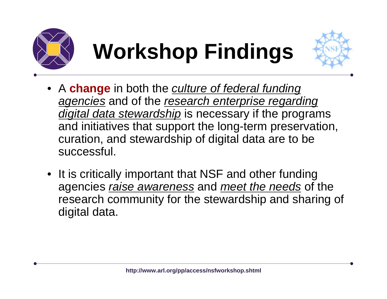



- A **change** in both the *culture of federal funding agencies* and of the *research enterprise regarding digital data stewardship* is necessary if the programs and initiatives that support the long-term preservation, curation, and stewardship of digital data are to be successful.
- It is critically important that NSF and other funding agencies *raise awareness* and *meet the needs* of the research community for the stewardship and sharing of digital data.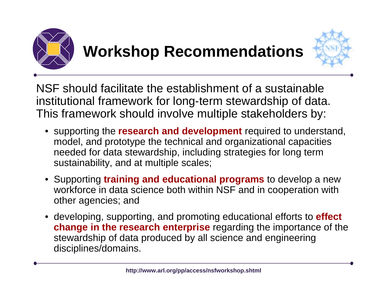

### **Workshop Recommendations**



NSF should facilitate the establishment of a sustainable institutional framework for long-term stewardship of data. This framework should involve multiple stakeholders by:

- supporting the **research and development** required to understand, model, and prototype the technical and organizational capacities needed for data stewardship, including strategies for long term sustainability, and at multiple scales;
- Supporting **training and educational programs** to develop a new workforce in data science both within NSF and in cooperation with other agencies; and
- developing, supporting, and promoting educational efforts to **effect change in the research enterprise** regarding the importance of the stewardship of data produced by all science and engineering disciplines/domains.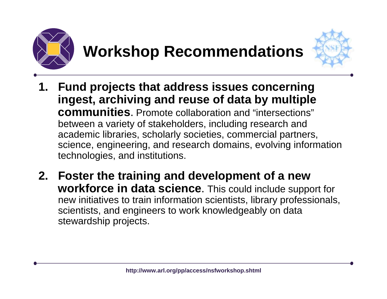

### **Workshop Recommendations**



- **1. Fund projects that address issues concerning ingest, archiving and reuse of data by multiple communities**. Promote collaboration and "intersections"between a variety of stakeholders, including research and academic libraries, scholarly societies, commercial partners, science, engineering, and research domains, evolving information technologies, and institutions.
- **2. Foster the training and development of a new workforce in data science**. This could include support for new initiatives to train information scientists, library professionals, scientists, and engineers to work knowledgeably on data stewardship projects.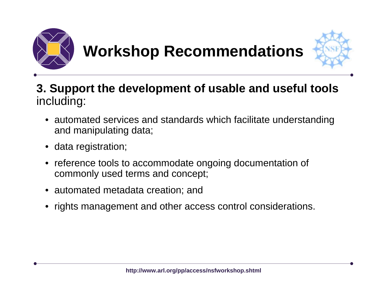

### **Workshop Recommendations**



#### **3. Support the development of usable and useful tools** including:

- • automated services and standards which facilitate understanding and manipulating data;
- data registration;
- • reference tools to accommodate ongoing documentation of commonly used terms and concept;
- automated metadata creation; and
- •rights management and other access control considerations.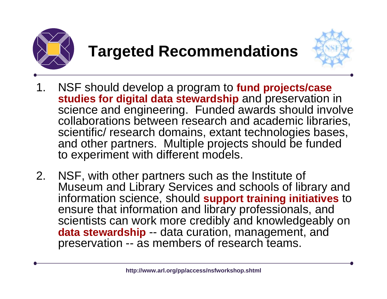



- 1. NSF should develop a program to **fund projects/case studies for digital data stewardship** and preservation in science and engineering. Funded awards should involve collaborations between research and academic libraries, scientific/ research domains, extant technologies bases, and other partners. Multiple projects should be funded to experiment with different models.
- 2. NSF, with other partners such as the Institute of Museum and Library Services and schools of library and information science, should **support training initiatives** to ensure that information and library professionals, and scientists can work more credibly and knowledgeably on **data stewardship** -- data curation, management, and preservation -- as members of research teams.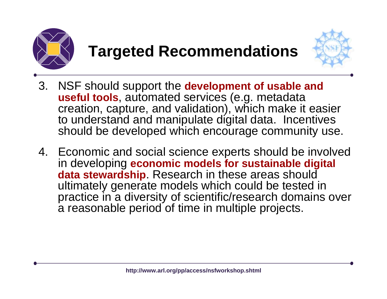



- 3. NSF should support the **development of usable and useful tools**, automated services (e.g. metadata creation, capture, and validation), which make it easier to understand and manipulate digital data. Incentives should be developed which encourage community use.
- 4. Economic and social science experts should be involved in developing **economic models for sustainable digital data stewardship**. Research in these areas should ultimately generate models which could be tested in practice in a diversity of scientific/research domains over a reasonable period of time in multiple projects.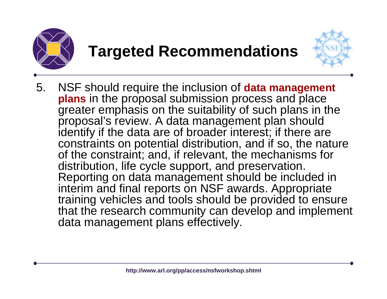



5. NSF should require the inclusion of **data management plans** in the proposal submission process and place greater emphasis on the suitability of such plans in the proposal's review. A data management plan should identify if the data are of broader interest; if there are constraints on potential distribution, and if so, the nature of the constraint; and, if relevant, the mechanisms for distribution, life cycle support, and preservation. Reporting on data management should be included in interim and final reports on NSF awards. Appropriate training vehicles and tools should be provided to ensure that the research community can develop and implement data management plans effectively.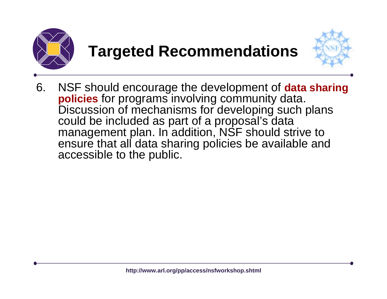



6. NSF should encourage the development of **data sharing policies** for programs involving community data. Discussion of mechanisms for developing such plans could be included as part of a proposal's data management plan. In addition, NSF should strive to ensure that all data sharing policies be available and accessible to the public.